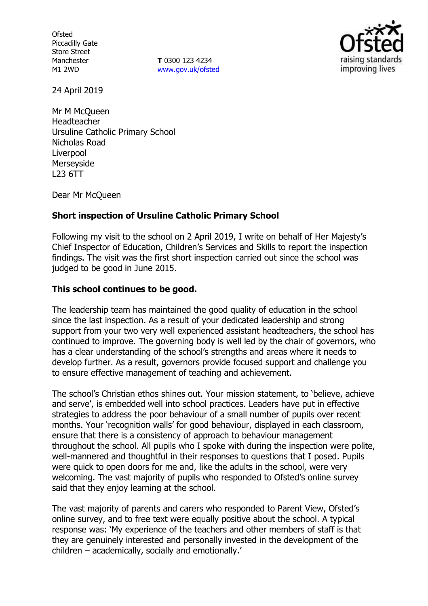**Ofsted** Piccadilly Gate Store Street Manchester M1 2WD

**T** 0300 123 4234 www.gov.uk/ofsted



24 April 2019

Mr M McQueen Headteacher Ursuline Catholic Primary School Nicholas Road Liverpool Merseyside L23 6TT

Dear Mr McQueen

## **Short inspection of Ursuline Catholic Primary School**

Following my visit to the school on 2 April 2019, I write on behalf of Her Majesty's Chief Inspector of Education, Children's Services and Skills to report the inspection findings. The visit was the first short inspection carried out since the school was judged to be good in June 2015.

## **This school continues to be good.**

The leadership team has maintained the good quality of education in the school since the last inspection. As a result of your dedicated leadership and strong support from your two very well experienced assistant headteachers, the school has continued to improve. The governing body is well led by the chair of governors, who has a clear understanding of the school's strengths and areas where it needs to develop further. As a result, governors provide focused support and challenge you to ensure effective management of teaching and achievement.

The school's Christian ethos shines out. Your mission statement, to 'believe, achieve and serve', is embedded well into school practices. Leaders have put in effective strategies to address the poor behaviour of a small number of pupils over recent months. Your 'recognition walls' for good behaviour, displayed in each classroom, ensure that there is a consistency of approach to behaviour management throughout the school. All pupils who I spoke with during the inspection were polite, well-mannered and thoughtful in their responses to questions that I posed. Pupils were quick to open doors for me and, like the adults in the school, were very welcoming. The vast majority of pupils who responded to Ofsted's online survey said that they enjoy learning at the school.

The vast majority of parents and carers who responded to Parent View, Ofsted's online survey, and to free text were equally positive about the school. A typical response was: 'My experience of the teachers and other members of staff is that they are genuinely interested and personally invested in the development of the children – academically, socially and emotionally.'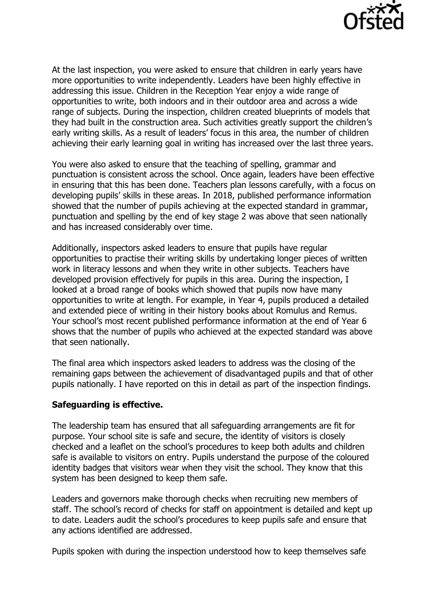

At the last inspection, you were asked to ensure that children in early years have more opportunities to write independently. Leaders have been highly effective in addressing this issue. Children in the Reception Year enjoy a wide range of opportunities to write, both indoors and in their outdoor area and across a wide range of subjects. During the inspection, children created blueprints of models that they had built in the construction area. Such activities greatly support the children's early writing skills. As a result of leaders' focus in this area, the number of children achieving their early learning goal in writing has increased over the last three years.

You were also asked to ensure that the teaching of spelling, grammar and punctuation is consistent across the school. Once again, leaders have been effective in ensuring that this has been done. Teachers plan lessons carefully, with a focus on developing pupils' skills in these areas. In 2018, published performance information showed that the number of pupils achieving at the expected standard in grammar, punctuation and spelling by the end of key stage 2 was above that seen nationally and has increased considerably over time.

Additionally, inspectors asked leaders to ensure that pupils have regular opportunities to practise their writing skills by undertaking longer pieces of written work in literacy lessons and when they write in other subjects. Teachers have developed provision effectively for pupils in this area. During the inspection, I looked at a broad range of books which showed that pupils now have many opportunities to write at length. For example, in Year 4, pupils produced a detailed and extended piece of writing in their history books about Romulus and Remus. Your school's most recent published performance information at the end of Year 6 shows that the number of pupils who achieved at the expected standard was above that seen nationally.

The final area which inspectors asked leaders to address was the closing of the remaining gaps between the achievement of disadvantaged pupils and that of other pupils nationally. I have reported on this in detail as part of the inspection findings.

### **Safeguarding is effective.**

The leadership team has ensured that all safeguarding arrangements are fit for purpose. Your school site is safe and secure, the identity of visitors is closely checked and a leaflet on the school's procedures to keep both adults and children safe is available to visitors on entry. Pupils understand the purpose of the coloured identity badges that visitors wear when they visit the school. They know that this system has been designed to keep them safe.

Leaders and governors make thorough checks when recruiting new members of staff. The school's record of checks for staff on appointment is detailed and kept up to date. Leaders audit the school's procedures to keep pupils safe and ensure that any actions identified are addressed.

Pupils spoken with during the inspection understood how to keep themselves safe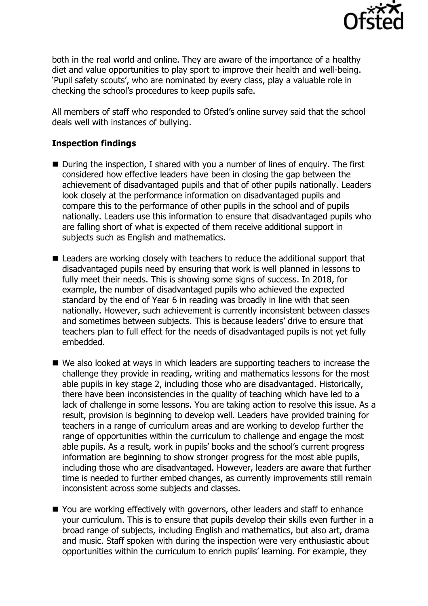

both in the real world and online. They are aware of the importance of a healthy diet and value opportunities to play sport to improve their health and well-being. 'Pupil safety scouts', who are nominated by every class, play a valuable role in checking the school's procedures to keep pupils safe.

All members of staff who responded to Ofsted's online survey said that the school deals well with instances of bullying.

## **Inspection findings**

- During the inspection, I shared with you a number of lines of enguiry. The first considered how effective leaders have been in closing the gap between the achievement of disadvantaged pupils and that of other pupils nationally. Leaders look closely at the performance information on disadvantaged pupils and compare this to the performance of other pupils in the school and of pupils nationally. Leaders use this information to ensure that disadvantaged pupils who are falling short of what is expected of them receive additional support in subjects such as English and mathematics.
- Leaders are working closely with teachers to reduce the additional support that disadvantaged pupils need by ensuring that work is well planned in lessons to fully meet their needs. This is showing some signs of success. In 2018, for example, the number of disadvantaged pupils who achieved the expected standard by the end of Year 6 in reading was broadly in line with that seen nationally. However, such achievement is currently inconsistent between classes and sometimes between subjects. This is because leaders' drive to ensure that teachers plan to full effect for the needs of disadvantaged pupils is not yet fully embedded.
- We also looked at ways in which leaders are supporting teachers to increase the challenge they provide in reading, writing and mathematics lessons for the most able pupils in key stage 2, including those who are disadvantaged. Historically, there have been inconsistencies in the quality of teaching which have led to a lack of challenge in some lessons. You are taking action to resolve this issue. As a result, provision is beginning to develop well. Leaders have provided training for teachers in a range of curriculum areas and are working to develop further the range of opportunities within the curriculum to challenge and engage the most able pupils. As a result, work in pupils' books and the school's current progress information are beginning to show stronger progress for the most able pupils, including those who are disadvantaged. However, leaders are aware that further time is needed to further embed changes, as currently improvements still remain inconsistent across some subjects and classes.
- You are working effectively with governors, other leaders and staff to enhance your curriculum. This is to ensure that pupils develop their skills even further in a broad range of subjects, including English and mathematics, but also art, drama and music. Staff spoken with during the inspection were very enthusiastic about opportunities within the curriculum to enrich pupils' learning. For example, they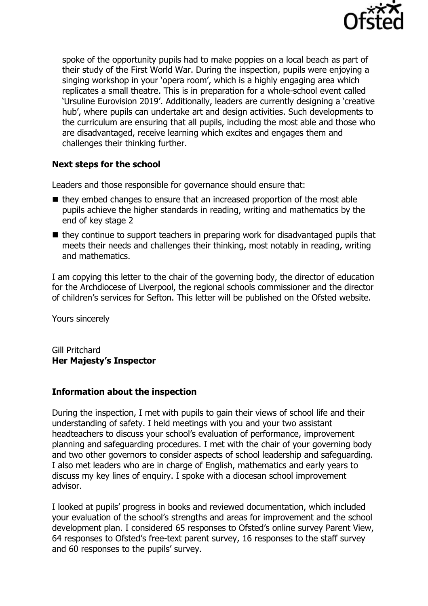

spoke of the opportunity pupils had to make poppies on a local beach as part of their study of the First World War. During the inspection, pupils were enjoying a singing workshop in your 'opera room', which is a highly engaging area which replicates a small theatre. This is in preparation for a whole-school event called 'Ursuline Eurovision 2019'. Additionally, leaders are currently designing a 'creative hub', where pupils can undertake art and design activities. Such developments to the curriculum are ensuring that all pupils, including the most able and those who are disadvantaged, receive learning which excites and engages them and challenges their thinking further.

# **Next steps for the school**

Leaders and those responsible for governance should ensure that:

- $\blacksquare$  they embed changes to ensure that an increased proportion of the most able pupils achieve the higher standards in reading, writing and mathematics by the end of key stage 2
- $\blacksquare$  they continue to support teachers in preparing work for disadvantaged pupils that meets their needs and challenges their thinking, most notably in reading, writing and mathematics.

I am copying this letter to the chair of the governing body, the director of education for the Archdiocese of Liverpool, the regional schools commissioner and the director of children's services for Sefton. This letter will be published on the Ofsted website.

Yours sincerely

Gill Pritchard **Her Majesty's Inspector**

### **Information about the inspection**

During the inspection, I met with pupils to gain their views of school life and their understanding of safety. I held meetings with you and your two assistant headteachers to discuss your school's evaluation of performance, improvement planning and safeguarding procedures. I met with the chair of your governing body and two other governors to consider aspects of school leadership and safeguarding. I also met leaders who are in charge of English, mathematics and early years to discuss my key lines of enquiry. I spoke with a diocesan school improvement advisor.

I looked at pupils' progress in books and reviewed documentation, which included your evaluation of the school's strengths and areas for improvement and the school development plan. I considered 65 responses to Ofsted's online survey Parent View, 64 responses to Ofsted's free-text parent survey, 16 responses to the staff survey and 60 responses to the pupils' survey.